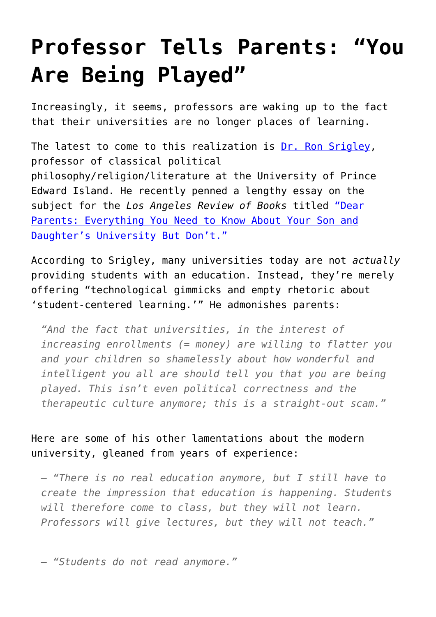## **[Professor Tells Parents: "You](https://intellectualtakeout.org/2015/12/professor-tells-parents-you-are-being-played/) [Are Being Played"](https://intellectualtakeout.org/2015/12/professor-tells-parents-you-are-being-played/)**

Increasingly, it seems, professors are waking up to the fact that their universities are no longer places of learning.

The latest to come to this realization is [Dr. Ron Srigley,](http://www.islandscholar.ca/fedora/repository/ir%3Arsrigley) professor of classical political philosophy/religion/literature at the University of Prince Edward Island. He recently penned a lengthy essay on the subject for the *Los Angeles Review of Books* titled ["Dear](https://lareviewofbooks.org/essay/dear-parents-everything-you-need-to-know-about-your-son-and-daughters-university-but-dont) [Parents: Everything You Need to Know About Your Son and](https://lareviewofbooks.org/essay/dear-parents-everything-you-need-to-know-about-your-son-and-daughters-university-but-dont) [Daughter's University But Don't."](https://lareviewofbooks.org/essay/dear-parents-everything-you-need-to-know-about-your-son-and-daughters-university-but-dont)

According to Srigley, many universities today are not *actually* providing students with an education. Instead, they're merely offering "technological gimmicks and empty rhetoric about 'student-centered learning.'" He admonishes parents:

*"And the fact that universities, in the interest of increasing enrollments (= money) are willing to flatter you and your children so shamelessly about how wonderful and intelligent you all are should tell you that you are being played. This isn't even political correctness and the therapeutic culture anymore; this is a straight-out scam."*

Here are some of his other lamentations about the modern university, gleaned from years of experience:

*– "There is no real education anymore, but I still have to create the impression that education is happening. Students will therefore come to class, but they will not learn. Professors will give lectures, but they will not teach."*

*– "Students do not read anymore."*